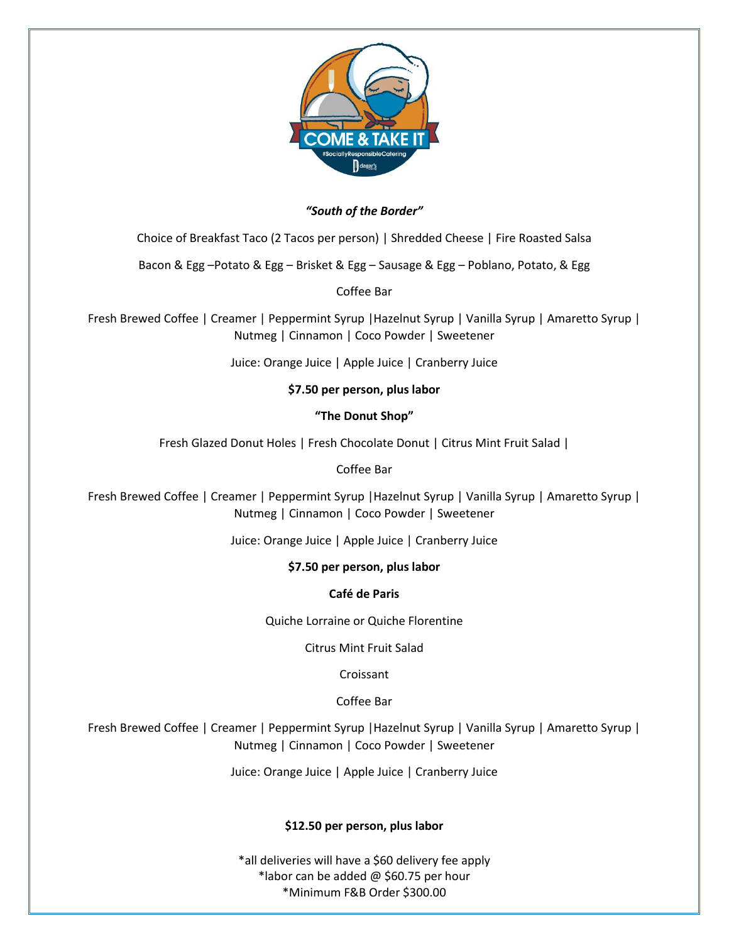

# *"South of the Border"*

Choice of Breakfast Taco (2 Tacos per person) | Shredded Cheese | Fire Roasted Salsa

Bacon & Egg –Potato & Egg – Brisket & Egg – Sausage & Egg – Poblano, Potato, & Egg

Coffee Bar

Fresh Brewed Coffee | Creamer | Peppermint Syrup |Hazelnut Syrup | Vanilla Syrup | Amaretto Syrup | Nutmeg | Cinnamon | Coco Powder | Sweetener

Juice: Orange Juice | Apple Juice | Cranberry Juice

# **\$7.50 per person, plus labor**

**"The Donut Shop"**

Fresh Glazed Donut Holes | Fresh Chocolate Donut | Citrus Mint Fruit Salad |

### Coffee Bar

Fresh Brewed Coffee | Creamer | Peppermint Syrup |Hazelnut Syrup | Vanilla Syrup | Amaretto Syrup | Nutmeg | Cinnamon | Coco Powder | Sweetener

Juice: Orange Juice | Apple Juice | Cranberry Juice

# **\$7.50 per person, plus labor**

# **Café de Paris**

Quiche Lorraine or Quiche Florentine

Citrus Mint Fruit Salad

Croissant

Coffee Bar

Fresh Brewed Coffee | Creamer | Peppermint Syrup |Hazelnut Syrup | Vanilla Syrup | Amaretto Syrup | Nutmeg | Cinnamon | Coco Powder | Sweetener

Juice: Orange Juice | Apple Juice | Cranberry Juice

# **\$12.50 per person, plus labor**

\*all deliveries will have a \$60 delivery fee apply \*labor can be added @ \$60.75 per hour \*Minimum F&B Order \$300.00